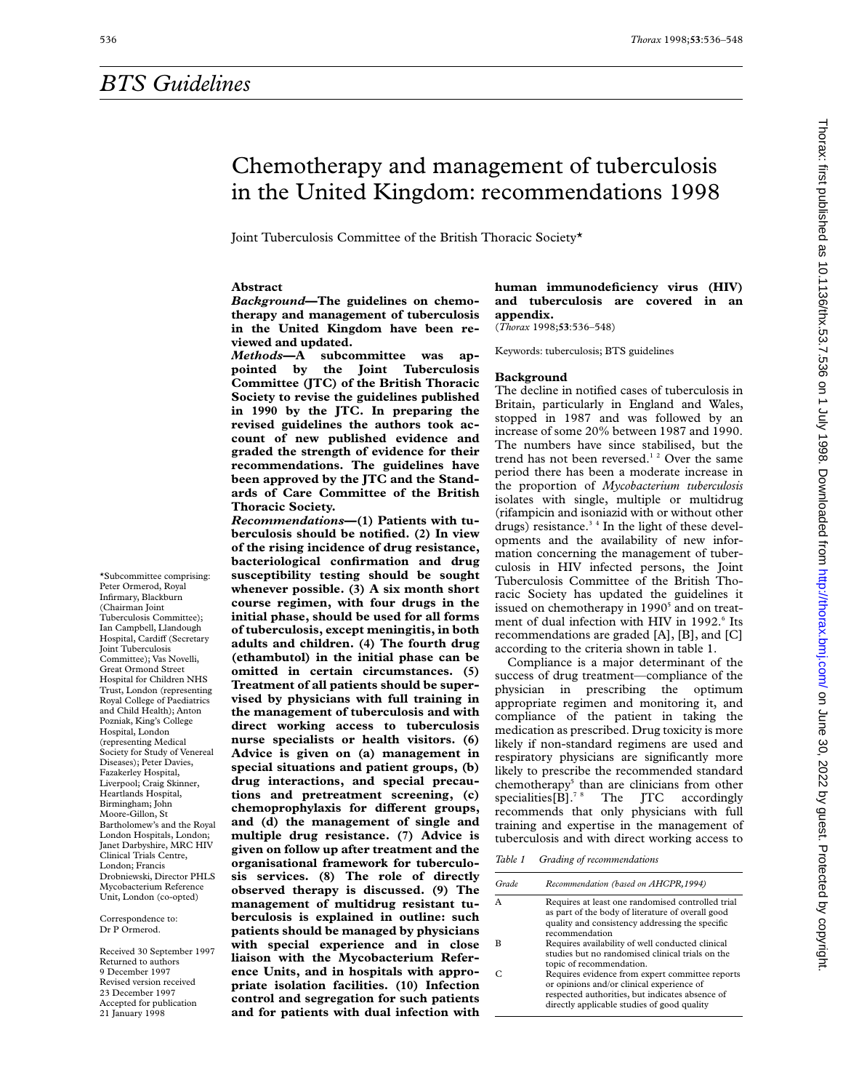# Chemotherapy and management of tuberculosis in the United Kingdom: recommendations 1998

Joint Tuberculosis Committee of the British Thoracic Society\*

## **Abstract**

*Background***—The guidelines on chemotherapy and management of tuberculosis in the United Kingdom have been reviewed and updated.**

*Methods*—A subcommittee was appointed by the Joint Tuberculosis pointed by the Joint **Committee (JTC) of the British Thoracic Society to revise the guidelines published in 1990 by the JTC. In preparing the revised guidelines the authors took account of new published evidence and graded the strength of evidence for their recommendations. The guidelines have been approved by the JTC and the Standards of Care Committee of the British Thoracic Society.**

*Recommendations***—(1) Patients with tuberculosis should be notified. (2) In view of the rising incidence of drug resistance, bacteriological confirmation and drug susceptibility testing should be sought whenever possible. (3) A six month short course regimen, with four drugs in the initial phase, should be used for all forms of tuberculosis, except meningitis, in both adults and children. (4) The fourth drug (ethambutol) in the initial phase can be omitted in certain circumstances. (5) Treatment of all patients should be supervised by physicians with full training in the management of tuberculosis and with direct working access to tuberculosis nurse specialists or health visitors. (6) Advice is given on (a) management in special situations and patient groups, (b) drug interactions, and special precautions and pretreatment screening, (c)** chemoprophylaxis for different groups, **and (d) the management of single and multiple drug resistance. (7) Advice is given on follow up after treatment and the organisational framework for tuberculosis services. (8) The role of directly observed therapy is discussed. (9) The management of multidrug resistant tuberculosis is explained in outline: such patients should be managed by physicians with special experience and in close liaison with the Mycobacterium Reference Units, and in hospitals with appropriate isolation facilities. (10) Infection control and segregation for such patients and for patients with dual infection with**

**human immunodeficiency virus (HIV) and tuberculosis are covered in an appendix.**

(*Thorax* 1998;**53**:536–548)

Keywords: tuberculosis; BTS guidelines

#### **Background**

The decline in notified cases of tuberculosis in Britain, particularly in England and Wales, stopped in 1987 and was followed by an increase of some 20% between 1987 and 1990. The numbers have since stabilised, but the trend has not been reversed.<sup>12</sup> Over the same period there has been a moderate increase in the proportion of *Mycobacterium tuberculosis* isolates with single, multiple or multidrug (rifampicin and isoniazid with or without other drugs) resistance.<sup>34</sup> In the light of these developments and the availability of new information concerning the management of tuberculosis in HIV infected persons, the Joint Tuberculosis Committee of the British Thoracic Society has updated the guidelines it issued on chemotherapy in 1990<sup>5</sup> and on treatment of dual infection with HIV in 1992.<sup>6</sup> Its recommendations are graded [A], [B], and [C] according to the criteria shown in table 1.

Compliance is a major determinant of the success of drug treatment—compliance of the physician in prescribing the optimum appropriate regimen and monitoring it, and compliance of the patient in taking the medication as prescribed. Drug toxicity is more likely if non-standard regimens are used and respiratory physicians are significantly more likely to prescribe the recommended standard chemotherapy<sup>5</sup> than are clinicians from other specialities  $[B]$ .<sup>7 8</sup> The JTC accordingly recommends that only physicians with full training and expertise in the management of tuberculosis and with direct working access to

*Table 1 Grading of recommendations*

| Grade | Recommendation (based on AHCPR, 1994)                                                                  |
|-------|--------------------------------------------------------------------------------------------------------|
| А     | Requires at least one randomised controlled trial<br>as part of the body of literature of overall good |
|       | quality and consistency addressing the specific<br>recommendation                                      |
| в     | Requires availability of well conducted clinical                                                       |
|       | studies but no randomised clinical trials on the                                                       |
|       | topic of recommendation.                                                                               |
|       | Requires evidence from expert committee reports                                                        |
|       | or opinions and/or clinical experience of                                                              |
|       | respected authorities, but indicates absence of                                                        |
|       | directly applicable studies of good quality                                                            |

\*Subcommittee comprising: Peter Ormerod, Royal Infirmary, Blackburn (Chairman Joint Tuberculosis Committee); Ian Campbell, Llandough Hospital, Cardiff (Secretary Joint Tuberculosis Committee); Vas Novelli, Great Ormond Street Hospital for Children NHS Trust, London (representing Royal College of Paediatrics and Child Health); Anton Pozniak, King's College Hospital, London (representing Medical Society for Study of Venereal Diseases); Peter Davies, Fazakerley Hospital, Liverpool; Craig Skinner, Heartlands Hospital, Birmingham; John Moore-Gillon, St Bartholomew's and the Royal London Hospitals, London; Janet Darbyshire, MRC HIV Clinical Trials Centre, London; Francis Drobniewski, Director PHLS Mycobacterium Reference Unit, London (co-opted)

#### Correspondence to: Dr P Ormerod.

Received 30 September 1997 Returned to authors 9 December 1997 Revised version received 23 December 1997 Accepted for publication 21 January 1998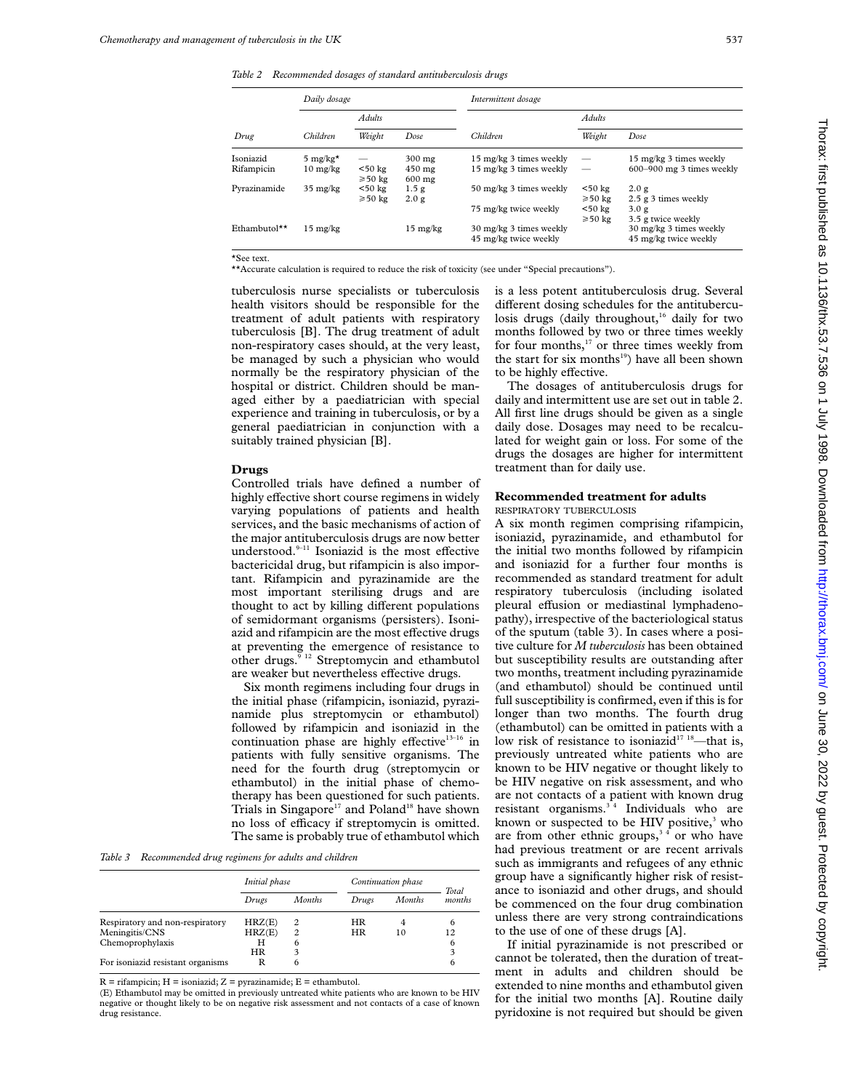*Table 2 Recommended dosages of standard antituberculosis drugs*

|              | Daily dosage         |                                 |                              | Intermittent dosage                              |                                |                                                  |
|--------------|----------------------|---------------------------------|------------------------------|--------------------------------------------------|--------------------------------|--------------------------------------------------|
|              |                      | <b>Adults</b>                   |                              |                                                  | <b>Adults</b>                  |                                                  |
| Drug         | Children             | Weight                          | Dose                         | Children                                         | Weight                         | Dose                                             |
| Isoniazid    | 5 mg/kg <sup>*</sup> |                                 | $300$ mg                     | 15 mg/kg 3 times weekly                          | $\overline{\phantom{m}}$       | 15 mg/kg 3 times weekly                          |
| Rifampicin   | $10 \text{ mg/kg}$   | $50 \text{ kg}$<br>$\geq 50$ kg | $450 \text{ mg}$<br>$600$ mg | 15 mg/kg 3 times weekly                          | $\qquad \qquad$                | 600-900 mg 3 times weekly                        |
| Pyrazinamide | $35 \text{ mg/kg}$   | < 50 kg<br>$\geq 50$ kg         | 1.5 <sub>g</sub><br>2.0 g    | 50 mg/kg 3 times weekly                          | $<$ 50 kg<br>$\geqslant 50$ kg | 2.0 g<br>2.5 g 3 times weekly                    |
|              |                      |                                 |                              | 75 mg/kg twice weekly                            | $<$ 50 kg<br>$\geqslant 50$ kg | 3.0 g<br>3.5 g twice weekly                      |
| Ethambutol** | $15 \text{ mg/kg}$   |                                 | $15 \text{ mg/kg}$           | 30 mg/kg 3 times weekly<br>45 mg/kg twice weekly |                                | 30 mg/kg 3 times weekly<br>45 mg/kg twice weekly |

\*See text.

\*\*Accurate calculation is required to reduce the risk of toxicity (see under "Special precautions").

tuberculosis nurse specialists or tuberculosis health visitors should be responsible for the treatment of adult patients with respiratory tuberculosis [B]. The drug treatment of adult non-respiratory cases should, at the very least, be managed by such a physician who would normally be the respiratory physician of the hospital or district. Children should be managed either by a paediatrician with special experience and training in tuberculosis, or by a general paediatrician in conjunction with a suitably trained physician [B].

#### **Drugs**

Controlled trials have defined a number of highly effective short course regimens in widely varying populations of patients and health services, and the basic mechanisms of action of the major antituberculosis drugs are now better understood. $9-11$  Isoniazid is the most effective bactericidal drug, but rifampicin is also important. Rifampicin and pyrazinamide are the most important sterilising drugs and are thought to act by killing different populations of semidormant organisms (persisters). Isoniazid and rifampicin are the most effective drugs at preventing the emergence of resistance to other drugs.<sup>9 12</sup> Streptomycin and ethambutol are weaker but nevertheless effective drugs.

Six month regimens including four drugs in the initial phase (rifampicin, isoniazid, pyrazinamide plus streptomycin or ethambutol) followed by rifampicin and isoniazid in the continuation phase are highly effective $13-16$  in patients with fully sensitive organisms. The need for the fourth drug (streptomycin or ethambutol) in the initial phase of chemotherapy has been questioned for such patients. Trials in Singapore<sup>17</sup> and Poland<sup>18</sup> have shown no loss of efficacy if streptomycin is omitted. The same is probably true of ethambutol which

*Table 3 Recommended drug regimens for adults and children*

| Initial phase |               | Continuation phase |               |                 |
|---------------|---------------|--------------------|---------------|-----------------|
| Drugs         | <b>Months</b> | Drugs              | <b>Months</b> | Total<br>months |
| HRZ(E)        | 2             | HR                 | 4             | 6               |
| HRZ(E)        | 2             | HR                 | 10            | 12              |
| н             | 6             |                    |               | 6               |
| HR            |               |                    |               | 3               |
| R             | 6             |                    |               | 6               |
|               |               |                    |               |                 |

 $R =$  rifampicin;  $H =$  isoniazid;  $Z =$  pyrazinamide;  $E =$  ethambutol.

(E) Ethambutol may be omitted in previously untreated white patients who are known to be HIV negative or thought likely to be on negative risk assessment and not contacts of a case of known drug resistance.

is a less potent antituberculosis drug. Several different dosing schedules for the antituberculosis drugs (daily throughout,<sup>16</sup> daily for two months followed by two or three times weekly for four months, $17$  or three times weekly from the start for six months<sup>19</sup>) have all been shown to be highly effective.

The dosages of antituberculosis drugs for daily and intermittent use are set out in table 2. All first line drugs should be given as a single daily dose. Dosages may need to be recalculated for weight gain or loss. For some of the drugs the dosages are higher for intermittent treatment than for daily use.

#### **Recommended treatment for adults** RESPIRATORY TUBERCULOSIS

A six month regimen comprising rifampicin, isoniazid, pyrazinamide, and ethambutol for the initial two months followed by rifampicin and isoniazid for a further four months is recommended as standard treatment for adult respiratory tuberculosis (including isolated pleural effusion or mediastinal lymphadenopathy), irrespective of the bacteriological status of the sputum (table 3). In cases where a positive culture for *M tuberculosis* has been obtained but susceptibility results are outstanding after two months, treatment including pyrazinamide (and ethambutol) should be continued until full susceptibility is confirmed, even if this is for longer than two months. The fourth drug (ethambutol) can be omitted in patients with a low risk of resistance to isoniazid<sup>17 18</sup>—that is, previously untreated white patients who are known to be HIV negative or thought likely to be HIV negative on risk assessment, and who are not contacts of a patient with known drug resistant organisms.3 4 Individuals who are known or suspected to be HIV positive,<sup>3</sup> who are from other ethnic groups, $3<sup>4</sup>$  or who have had previous treatment or are recent arrivals such as immigrants and refugees of any ethnic group have a significantly higher risk of resistance to isoniazid and other drugs, and should be commenced on the four drug combination unless there are very strong contraindications to the use of one of these drugs [A].

If initial pyrazinamide is not prescribed or cannot be tolerated, then the duration of treatment in adults and children should be extended to nine months and ethambutol given for the initial two months [A]. Routine daily pyridoxine is not required but should be given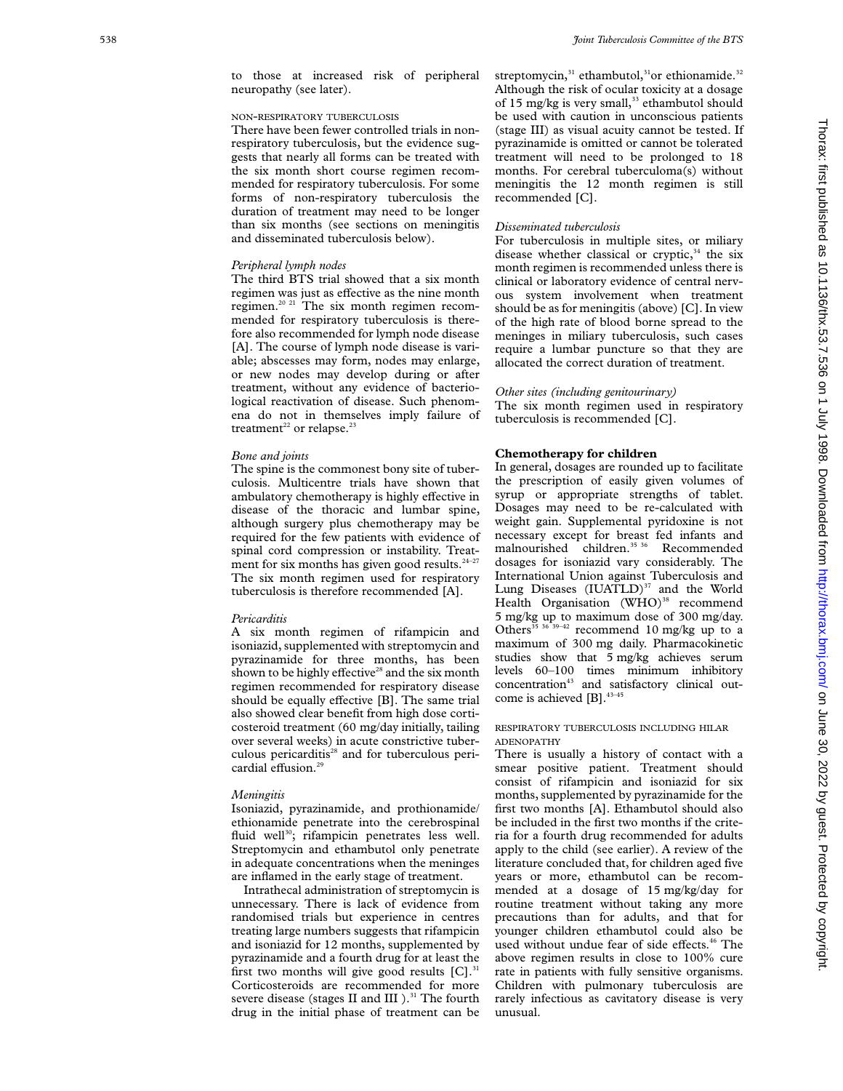to those at increased risk of peripheral neuropathy (see later).

# NON -RESPIRATORY TUBERCULOSIS

There have been fewer controlled trials in nonrespiratory tuberculosis, but the evidence suggests that nearly all forms can be treated with the six month short course regimen recommended for respiratory tuberculosis. For some forms of non-respiratory tuberculosis the duration of treatment may need to be longer than six months (see sections on meningitis and disseminated tuberculosis below).

## *Peripheral lymph nodes*

The third BTS trial showed that a six month regimen was just as effective as the nine month regimen.20 21 The six month regimen recommended for respiratory tuberculosis is therefore also recommended for lymph node disease [A]. The course of lymph node disease is variable; abscesses may form, nodes may enlarge, or new nodes may develop during or after treatment, without any evidence of bacteriological reactivation of disease. Such phenomena do not in themselves imply failure of treatment<sup>22</sup> or relapse.<sup>23</sup>

# *Bone and joints*

The spine is the commonest bony site of tuberculosis. Multicentre trials have shown that ambulatory chemotherapy is highly effective in disease of the thoracic and lumbar spine, although surgery plus chemotherapy may be required for the few patients with evidence of spinal cord compression or instability. Treatment for six months has given good results. $24-27$ The six month regimen used for respiratory tuberculosis is therefore recommended [A].

# *Pericarditis*

A six month regimen of rifampicin and isoniazid, supplemented with streptomycin and pyrazinamide for three months, has been shown to be highly effective<sup>28</sup> and the six month regimen recommended for respiratory disease should be equally effective  $[B]$ . The same trial also showed clear benefit from high dose corticosteroid treatment (60 mg/day initially, tailing over several weeks) in acute constrictive tuberculous pericarditis<sup>28</sup> and for tuberculous pericardial effusion.<sup>29</sup>

# *Meningitis*

Isoniazid, pyrazinamide, and prothionamide/ ethionamide penetrate into the cerebrospinal fluid well<sup>30</sup>; rifampicin penetrates less well. Streptomycin and ethambutol only penetrate in adequate concentrations when the meninges are inflamed in the early stage of treatment.

Intrathecal administration of streptomycin is unnecessary. There is lack of evidence from randomised trials but experience in centres treating large numbers suggests that rifampicin and isoniazid for 12 months, supplemented by pyrazinamide and a fourth drug for at least the first two months will give good results  $[C]$ .<sup>31</sup> Corticosteroids are recommended for more severe disease (stages II and III).<sup>31</sup> The fourth drug in the initial phase of treatment can be

streptomycin,<sup>31</sup> ethambutol,<sup>31</sup>or ethionamide.<sup>32</sup> Although the risk of ocular toxicity at a dosage of 15 mg/kg is very small,<sup>33</sup> ethambutol should be used with caution in unconscious patients (stage III) as visual acuity cannot be tested. If pyrazinamide is omitted or cannot be tolerated treatment will need to be prolonged to 18 months. For cerebral tuberculoma(s) without meningitis the 12 month regimen is still recommended [C].

# *Disseminated tuberculosis*

For tuberculosis in multiple sites, or miliary disease whether classical or cryptic,<sup>34</sup> the six month regimen is recommended unless there is clinical or laboratory evidence of central nervous system involvement when treatment should be as for meningitis (above) [C]. In view of the high rate of blood borne spread to the meninges in miliary tuberculosis, such cases require a lumbar puncture so that they are allocated the correct duration of treatment.

## *Other sites (including genitourinary)*

The six month regimen used in respiratory tuberculosis is recommended [C].

## **Chemotherapy for children**

In general, dosages are rounded up to facilitate the prescription of easily given volumes of syrup or appropriate strengths of tablet. Dosages may need to be re-calculated with weight gain. Supplemental pyridoxine is not necessary except for breast fed infants and malnourished children.<sup>35 36</sup> Recommended dosages for isoniazid vary considerably. The International Union against Tuberculosis and Lung Diseases  $(IVATLD)^{37}$  and the World Health Organisation (WHO)<sup>38</sup> recommend 5 mg/kg up to maximum dose of 300 mg/day. Others<sup>35 36 39-42</sup> recommend 10 mg/kg up to a maximum of 300 mg daily. Pharmacokinetic studies show that 5 mg/kg achieves serum levels 60–100 times minimum inhibitory concentration<sup>43</sup> and satisfactory clinical outcome is achieved [B].<sup>43-45</sup>

## RESPIRATORY TUBERCULOSIS INCLUDING HILAR ADENOPATHY

There is usually a history of contact with a smear positive patient. Treatment should consist of rifampicin and isoniazid for six months, supplemented by pyrazinamide for the first two months [A]. Ethambutol should also be included in the first two months if the criteria for a fourth drug recommended for adults apply to the child (see earlier). A review of the literature concluded that, for children aged five years or more, ethambutol can be recommended at a dosage of 15 mg/kg/day for routine treatment without taking any more precautions than for adults, and that for younger children ethambutol could also be used without undue fear of side effects.<sup>46</sup> The above regimen results in close to 100% cure rate in patients with fully sensitive organisms. Children with pulmonary tuberculosis are rarely infectious as cavitatory disease is very unusual.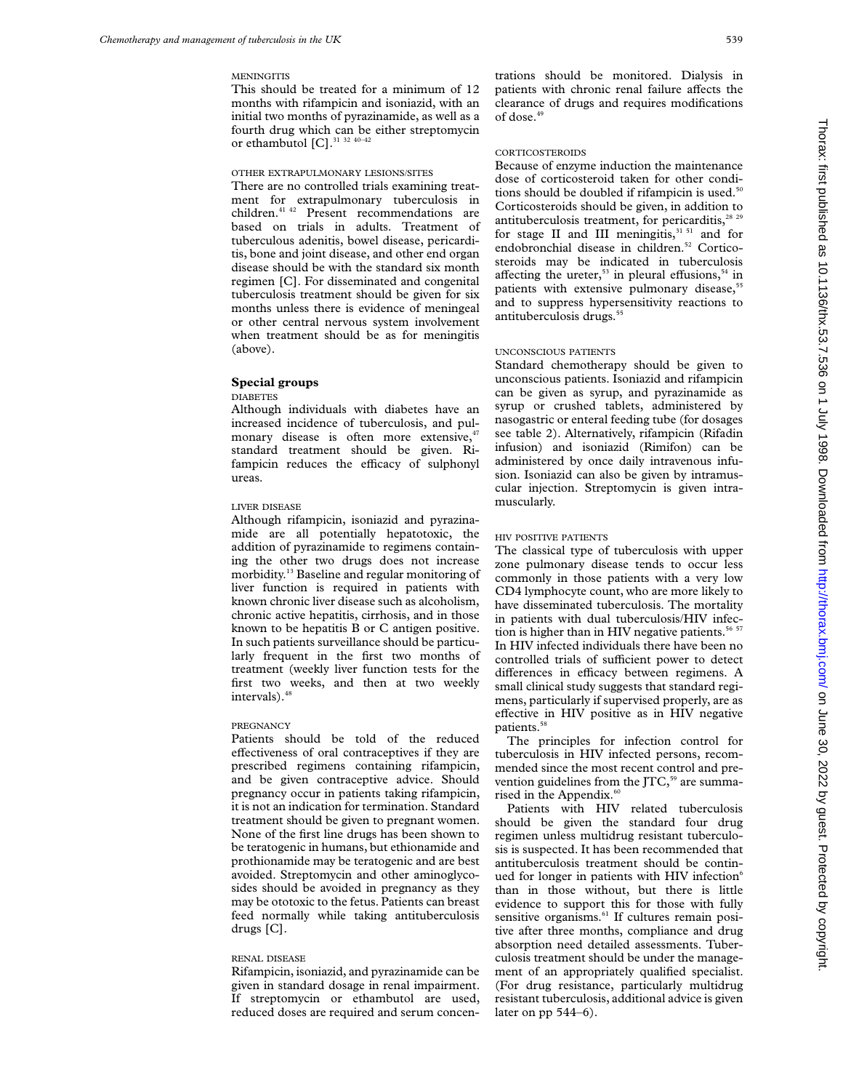## MENINGITIS

This should be treated for a minimum of 12 months with rifampicin and isoniazid, with an initial two months of pyrazinamide, as well as a fourth drug which can be either streptomycin or ethambutol [C].<sup>31 32 40-42</sup>

# OTHER EXTRAPULMONARY LESIONS/SITES

There are no controlled trials examining treatment for extrapulmonary tuberculosis in children.41 42 Present recommendations are based on trials in adults. Treatment of tuberculous adenitis, bowel disease, pericarditis, bone and joint disease, and other end organ disease should be with the standard six month regimen [C]. For disseminated and congenital tuberculosis treatment should be given for six months unless there is evidence of meningeal or other central nervous system involvement when treatment should be as for meningitis (above).

# **Special groups**

DIABETES

Although individuals with diabetes have an increased incidence of tuberculosis, and pulmonary disease is often more extensive,<sup>4</sup> standard treatment should be given. Rifampicin reduces the efficacy of sulphonyl ureas.

# LIVER DISEASE

Although rifampicin, isoniazid and pyrazinamide are all potentially hepatotoxic, the addition of pyrazinamide to regimens containing the other two drugs does not increase morbidity.13 Baseline and regular monitoring of liver function is required in patients with known chronic liver disease such as alcoholism, chronic active hepatitis, cirrhosis, and in those known to be hepatitis B or C antigen positive. In such patients surveillance should be particularly frequent in the first two months of treatment (weekly liver function tests for the first two weeks, and then at two weekly intervals).<sup>48</sup>

#### PREGNANCY

Patients should be told of the reduced effectiveness of oral contraceptives if they are prescribed regimens containing rifampicin, and be given contraceptive advice. Should pregnancy occur in patients taking rifampicin, it is not an indication for termination. Standard treatment should be given to pregnant women. None of the first line drugs has been shown to be teratogenic in humans, but ethionamide and prothionamide may be teratogenic and are best avoided. Streptomycin and other aminoglycosides should be avoided in pregnancy as they may be ototoxic to the fetus. Patients can breast feed normally while taking antituberculosis drugs [C].

#### RENAL DISEASE

Rifampicin, isoniazid, and pyrazinamide can be given in standard dosage in renal impairment. If streptomycin or ethambutol are used, reduced doses are required and serum concentrations should be monitored. Dialysis in patients with chronic renal failure affects the clearance of drugs and requires modifications of dose.<sup>4</sup>

## **CORTICOSTEROIDS**

Because of enzyme induction the maintenance dose of corticosteroid taken for other conditions should be doubled if rifampicin is used.<sup>50</sup> Corticosteroids should be given, in addition to antituberculosis treatment, for pericarditis, $28$   $2$ for stage II and III meningitis, $31 51$  and for endobronchial disease in children.<sup>52</sup> Corticosteroids may be indicated in tuberculosis affecting the ureter,<sup>53</sup> in pleural effusions,<sup>54</sup> in patients with extensive pulmonary disease,<sup>55</sup> and to suppress hypersensitivity reactions to antituberculosis drugs.<sup>55</sup>

#### UNCONSCIOUS PATIENTS

Standard chemotherapy should be given to unconscious patients. Isoniazid and rifampicin can be given as syrup, and pyrazinamide as syrup or crushed tablets, administered by nasogastric or enteral feeding tube (for dosages see table 2). Alternatively, rifampicin (Rifadin infusion) and isoniazid (Rimifon) can be administered by once daily intravenous infusion. Isoniazid can also be given by intramuscular injection. Streptomycin is given intramuscularly.

#### HIV POSITIVE PATIENTS

The classical type of tuberculosis with upper zone pulmonary disease tends to occur less commonly in those patients with a very low CD4 lymphocyte count, who are more likely to have disseminated tuberculosis. The mortality in patients with dual tuberculosis/HIV infection is higher than in HIV negative patients.<sup>56 57</sup> In HIV infected individuals there have been no controlled trials of sufficient power to detect differences in efficacy between regimens. A small clinical study suggests that standard regimens, particularly if supervised properly, are as effective in HIV positive as in HIV negative patients.58

The principles for infection control for tuberculosis in HIV infected persons, recommended since the most recent control and prevention guidelines from the  $\text{JTC}$ ,  $\text{59}$  are summarised in the Appendix.<sup>60</sup>

Patients with HIV related tuberculosis should be given the standard four drug regimen unless multidrug resistant tuberculosis is suspected. It has been recommended that antituberculosis treatment should be continued for longer in patients with HIV infection<sup>6</sup> than in those without, but there is little evidence to support this for those with fully sensitive organisms.<sup>61</sup> If cultures remain positive after three months, compliance and drug absorption need detailed assessments. Tuberculosis treatment should be under the management of an appropriately qualified specialist. (For drug resistance, particularly multidrug resistant tuberculosis, additional advice is given later on pp  $544-6$ ).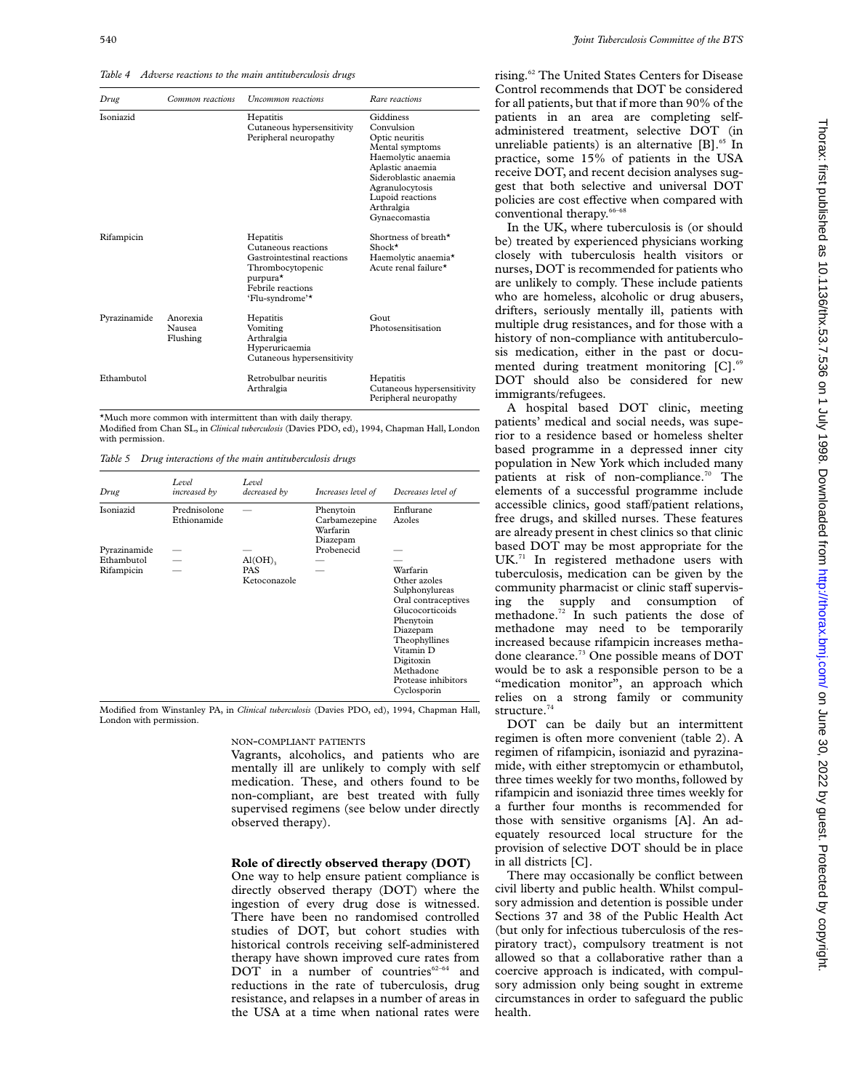*Table 4 Adverse reactions to the main antituberculosis drugs*

| Drug         | Common reactions               | <i>Uncommon reactions</i>                                                                                                              | Rare reactions                                                                                                                                                                                        |
|--------------|--------------------------------|----------------------------------------------------------------------------------------------------------------------------------------|-------------------------------------------------------------------------------------------------------------------------------------------------------------------------------------------------------|
| Isoniazid    |                                | Hepatitis<br>Cutaneous hypersensitivity<br>Peripheral neuropathy                                                                       | Giddiness<br>Convulsion<br>Optic neuritis<br>Mental symptoms<br>Haemolytic anaemia<br>Aplastic anaemia<br>Sideroblastic anaemia<br>Agranulocytosis<br>Lupoid reactions<br>Arthralgia<br>Gynaecomastia |
| Rifampicin   |                                | Hepatitis<br>Cutaneous reactions<br>Gastrointestinal reactions<br>Thrombocytopenic<br>purpura*<br>Febrile reactions<br>'Flu-syndrome'* | Shortness of breath*<br>$Short^{\star}$<br>Haemolytic anaemia*<br>Acute renal failure*                                                                                                                |
| Pyrazinamide | Anorexia<br>Nausea<br>Flushing | Hepatitis<br>Vomiting<br>Arthralgia<br>Hyperuricaemia<br>Cutaneous hypersensitivity                                                    | Gout<br>Photosensitisation                                                                                                                                                                            |
| Ethambutol   |                                | Retrobulbar neuritis<br>Arthralgia                                                                                                     | Hepatitis<br>Cutaneous hypersensitivity<br>Peripheral neuropathy                                                                                                                                      |

\*Much more common with intermittent than with daily therapy.

Modified from Chan SL, in *Clinical tuberculosis* (Davies PDO, ed), 1994, Chapman Hall, London with permission.

*Table 5 Drug interactions of the main antituberculosis drugs*

| Drug         | Level<br>increased by       | Level<br>decreased by | Increases level of                                 | Decreases level of  |
|--------------|-----------------------------|-----------------------|----------------------------------------------------|---------------------|
| Isoniazid    | Prednisolone<br>Ethionamide |                       | Phenytoin<br>Carbamezepine<br>Warfarin<br>Diazepam | Enflurane<br>Azoles |
| Pyrazinamide |                             |                       | Probenecid                                         |                     |
| Ethambutol   |                             | $Al(OH)_{3}$          |                                                    |                     |
| Rifampicin   |                             | <b>PAS</b>            |                                                    | Warfarin            |
|              |                             | Ketoconazole          |                                                    | Other azoles        |
|              |                             |                       |                                                    | Sulphonylureas      |
|              |                             |                       |                                                    | Oral contraceptives |
|              |                             |                       |                                                    | Glucocorticoids     |
|              |                             |                       |                                                    | Phenytoin           |
|              |                             |                       |                                                    | Diazepam            |
|              |                             |                       |                                                    | Theophyllines       |
|              |                             |                       |                                                    | Vitamin D           |
|              |                             |                       |                                                    | Digitoxin           |
|              |                             |                       |                                                    | Methadone           |
|              |                             |                       |                                                    | Protease inhibitors |
|              |                             |                       |                                                    | Cyclosporin         |

Modified from Winstanley PA, in *Clinical tuberculosis* (Davies PDO, ed), 1994, Chapman Hall, London with permission.

## NON-COMPLIANT PATIENTS

Vagrants, alcoholics, and patients who are mentally ill are unlikely to comply with self medication. These, and others found to be non-compliant, are best treated with fully supervised regimens (see below under directly observed therapy).

# **Role of directly observed therapy (DOT)**

One way to help ensure patient compliance is directly observed therapy (DOT) where the ingestion of every drug dose is witnessed. There have been no randomised controlled studies of DOT, but cohort studies with historical controls receiving self-administered therapy have shown improved cure rates from DOT in a number of countries $62-64$  and reductions in the rate of tuberculosis, drug resistance, and relapses in a number of areas in the USA at a time when national rates were

rising.62 The United States Centers for Disease Control recommends that DOT be considered for all patients, but that if more than 90% of the patients in an area are completing selfadministered treatment, selective DOT (in unreliable patients) is an alternative [B].<sup>65</sup> In practice, some 15% of patients in the USA receive DOT, and recent decision analyses suggest that both selective and universal DOT policies are cost effective when compared with conventional therapy.66–68

In the UK, where tuberculosis is (or should be) treated by experienced physicians working closely with tuberculosis health visitors or nurses, DOT is recommended for patients who are unlikely to comply. These include patients who are homeless, alcoholic or drug abusers, drifters, seriously mentally ill, patients with multiple drug resistances, and for those with a history of non-compliance with antituberculosis medication, either in the past or documented during treatment monitoring [C].<sup>69</sup> DOT should also be considered for new immigrants/refugees.

A hospital based DOT clinic, meeting patients' medical and social needs, was superior to a residence based or homeless shelter based programme in a depressed inner city population in New York which included many patients at risk of non-compliance.<sup>70</sup> The elements of a successful programme include accessible clinics, good staff/patient relations, free drugs, and skilled nurses. These features are already present in chest clinics so that clinic based DOT may be most appropriate for the UK.<sup>71</sup> In registered methadone users with tuberculosis, medication can be given by the community pharmacist or clinic staff supervising the supply and consumption of methadone.72 In such patients the dose of methadone may need to be temporarily increased because rifampicin increases methadone clearance.73 One possible means of DOT would be to ask a responsible person to be a "medication monitor", an approach which relies on a strong family or community structure. $74$ 

DOT can be daily but an intermittent regimen is often more convenient (table 2). A regimen of rifampicin, isoniazid and pyrazinamide, with either streptomycin or ethambutol, three times weekly for two months, followed by rifampicin and isoniazid three times weekly for a further four months is recommended for those with sensitive organisms [A]. An adequately resourced local structure for the provision of selective DOT should be in place in all districts [C].

There may occasionally be conflict between civil liberty and public health. Whilst compulsory admission and detention is possible under Sections 37 and 38 of the Public Health Act (but only for infectious tuberculosis of the respiratory tract), compulsory treatment is not allowed so that a collaborative rather than a coercive approach is indicated, with compulsory admission only being sought in extreme circumstances in order to safeguard the public health.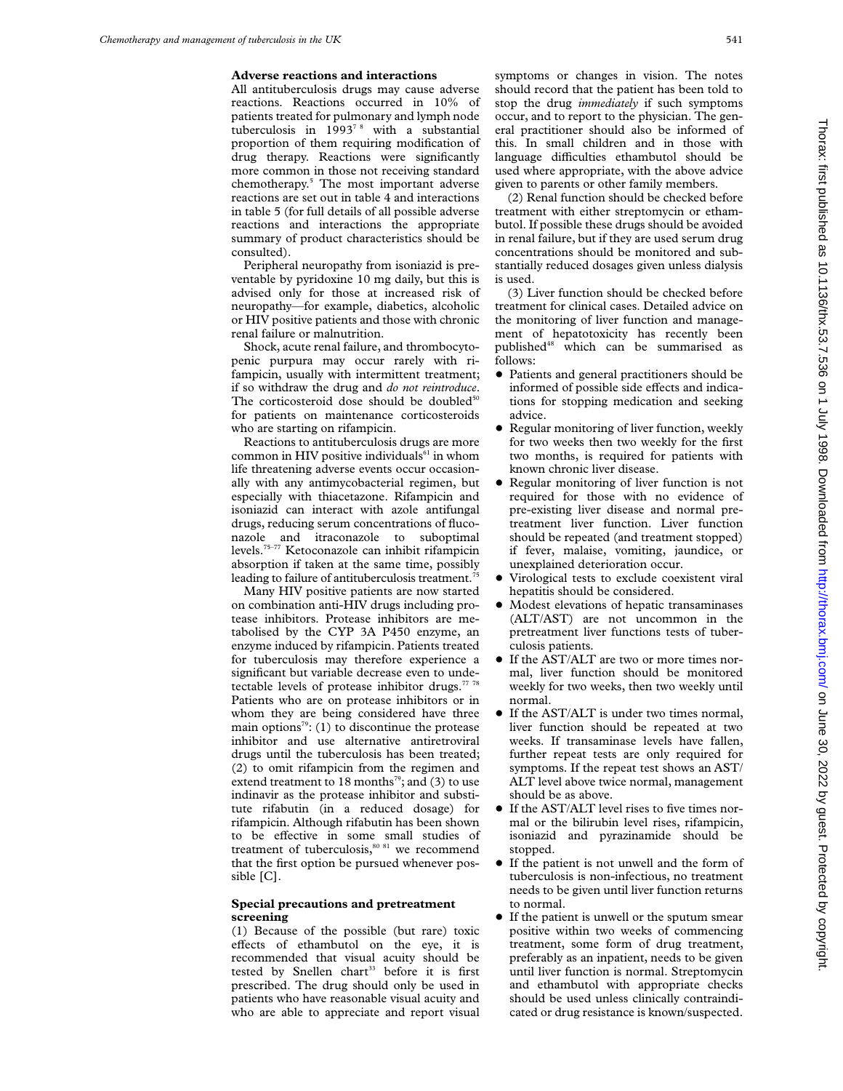## **Adverse reactions and interactions**

All antituberculosis drugs may cause adverse reactions. Reactions occurred in 10% of patients treated for pulmonary and lymph node tuberculosis in 1993<sup>78</sup> with a substantial proportion of them requiring modification of drug therapy. Reactions were significantly more common in those not receiving standard chemotherapy.5 The most important adverse reactions are set out in table 4 and interactions in table 5 (for full details of all possible adverse reactions and interactions the appropriate summary of product characteristics should be consulted).

Peripheral neuropathy from isoniazid is preventable by pyridoxine 10 mg daily, but this is advised only for those at increased risk of neuropathy—for example, diabetics, alcoholic or HIV positive patients and those with chronic renal failure or malnutrition.

Shock, acute renal failure, and thrombocytopenic purpura may occur rarely with rifampicin, usually with intermittent treatment; if so withdraw the drug and *do not reintroduce*. The corticosteroid dose should be doubled $50$ for patients on maintenance corticosteroids who are starting on rifampicin.

Reactions to antituberculosis drugs are more common in HIV positive individuals $61$  in whom life threatening adverse events occur occasionally with any antimycobacterial regimen, but especially with thiacetazone. Rifampicin and isoniazid can interact with azole antifungal drugs, reducing serum concentrations of fluconazole and itraconazole to suboptimal levels.75–77 Ketoconazole can inhibit rifampicin absorption if taken at the same time, possibly leading to failure of antituberculosis treatment.<sup>75</sup>

Many HIV positive patients are now started on combination anti-HIV drugs including protease inhibitors. Protease inhibitors are metabolised by the CYP 3A P450 enzyme, an enzyme induced by rifampicin. Patients treated for tuberculosis may therefore experience a significant but variable decrease even to undetectable levels of protease inhibitor drugs.<sup>77 78</sup> Patients who are on protease inhibitors or in whom they are being considered have three main options<sup>79</sup>: (1) to discontinue the protease inhibitor and use alternative antiretroviral drugs until the tuberculosis has been treated; (2) to omit rifampicin from the regimen and extend treatment to  $18$  months<sup>79</sup>; and (3) to use indinavir as the protease inhibitor and substitute rifabutin (in a reduced dosage) for rifampicin. Although rifabutin has been shown to be effective in some small studies of treatment of tuberculosis,<sup>80 81</sup> we recommend that the first option be pursued whenever possible [C].

#### **Special precautions and pretreatment screening**

(1) Because of the possible (but rare) toxic effects of ethambutol on the eye, it is recommended that visual acuity should be tested by Snellen chart<sup>33</sup> before it is first prescribed. The drug should only be used in patients who have reasonable visual acuity and who are able to appreciate and report visual

symptoms or changes in vision. The notes should record that the patient has been told to stop the drug *immediately* if such symptoms occur, and to report to the physician. The general practitioner should also be informed of this. In small children and in those with language difficulties ethambutol should be used where appropriate, with the above advice given to parents or other family members.

(2) Renal function should be checked before treatment with either streptomycin or ethambutol. If possible these drugs should be avoided in renal failure, but if they are used serum drug concentrations should be monitored and substantially reduced dosages given unless dialysis is used.

(3) Liver function should be checked before treatment for clinical cases. Detailed advice on the monitoring of liver function and management of hepatotoxicity has recently been published<sup>48</sup> which can be summarised as follows:

- Patients and general practitioners should be informed of possible side effects and indications for stopping medication and seeking advice.
- Regular monitoring of liver function, weekly for two weeks then two weekly for the first two months, is required for patients with known chronic liver disease.
- + Regular monitoring of liver function is not required for those with no evidence of pre-existing liver disease and normal pretreatment liver function. Liver function should be repeated (and treatment stopped) if fever, malaise, vomiting, jaundice, or unexplained deterioration occur.
- Virological tests to exclude coexistent viral hepatitis should be considered.
- + Modest elevations of hepatic transaminases (ALT/AST) are not uncommon in the pretreatment liver functions tests of tuberculosis patients.
- If the AST/ALT are two or more times normal, liver function should be monitored weekly for two weeks, then two weekly until normal.
- If the AST/ALT is under two times normal, liver function should be repeated at two weeks. If transaminase levels have fallen, further repeat tests are only required for symptoms. If the repeat test shows an AST/ ALT level above twice normal, management should be as above.
- If the AST/ALT level rises to five times normal or the bilirubin level rises, rifampicin, isoniazid and pyrazinamide should be stopped.
- If the patient is not unwell and the form of tuberculosis is non-infectious, no treatment needs to be given until liver function returns to normal.
- If the patient is unwell or the sputum smear positive within two weeks of commencing treatment, some form of drug treatment, preferably as an inpatient, needs to be given until liver function is normal. Streptomycin and ethambutol with appropriate checks should be used unless clinically contraindicated or drug resistance is known/suspected.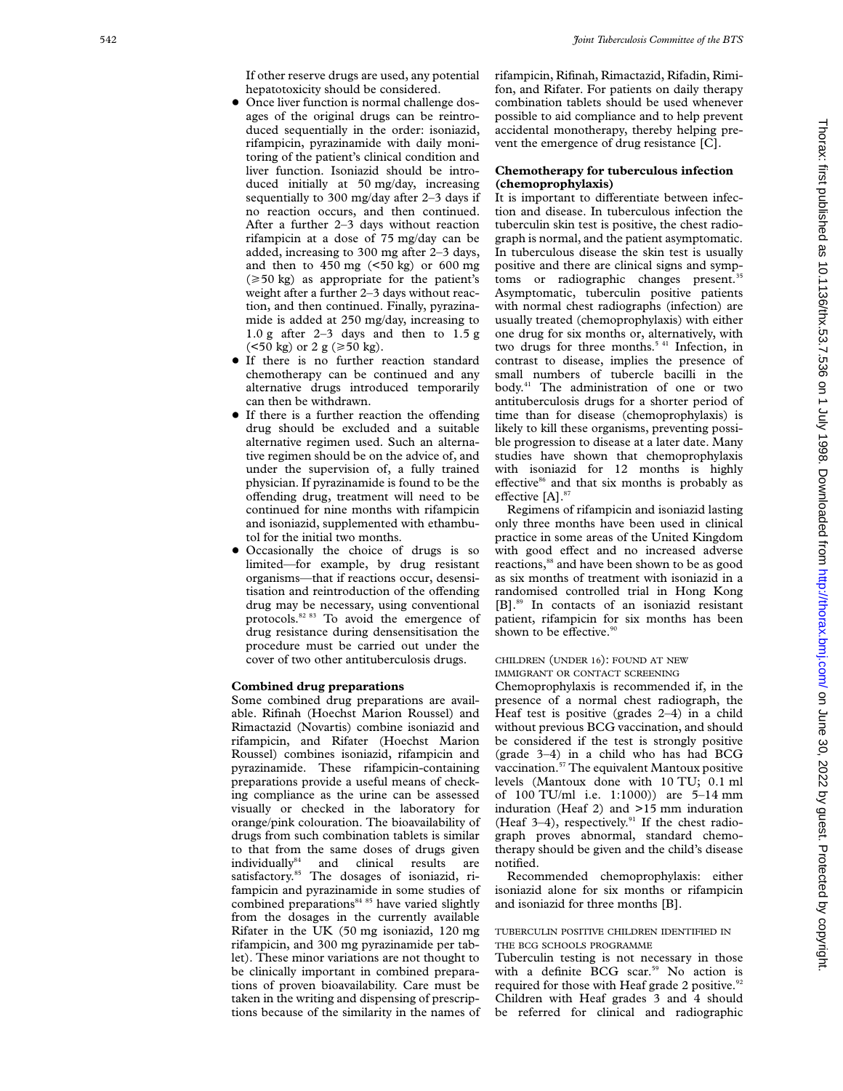If other reserve drugs are used, any potential hepatotoxicity should be considered.

- Once liver function is normal challenge dosages of the original drugs can be reintroduced sequentially in the order: isoniazid, rifampicin, pyrazinamide with daily monitoring of the patient's clinical condition and liver function. Isoniazid should be introduced initially at 50 mg/day, increasing sequentially to 300 mg/day after 2–3 days if no reaction occurs, and then continued. After a further 2–3 days without reaction rifampicin at a dose of 75 mg/day can be added, increasing to 300 mg after 2–3 days, and then to  $450 \text{ mg}$  ( $50 \text{ kg}$ ) or  $600 \text{ mg}$  $(\geq 50 \text{ kg})$  as appropriate for the patient's weight after a further 2–3 days without reaction, and then continued. Finally, pyrazinamide is added at 250 mg/day, increasing to 1.0 g after 2–3 days and then to 1.5 g  $(<50 kg$  or 2 g ( $\geq 50 kg$ ).
- If there is no further reaction standard chemotherapy can be continued and any alternative drugs introduced temporarily can then be withdrawn.
- If there is a further reaction the offending drug should be excluded and a suitable alternative regimen used. Such an alternative regimen should be on the advice of, and under the supervision of, a fully trained physician. If pyrazinamide is found to be the offending drug, treatment will need to be continued for nine months with rifampicin and isoniazid, supplemented with ethambutol for the initial two months.
- + Occasionally the choice of drugs is so limited—for example, by drug resistant organisms—that if reactions occur, desensitisation and reintroduction of the offending drug may be necessary, using conventional protocols.82 83 To avoid the emergence of drug resistance during densensitisation the procedure must be carried out under the cover of two other antituberculosis drugs.

#### **Combined drug preparations**

Some combined drug preparations are available. Rifinah (Hoechst Marion Roussel) and Rimactazid (Novartis) combine isoniazid and rifampicin, and Rifater (Hoechst Marion Roussel) combines isoniazid, rifampicin and pyrazinamide. These rifampicin-containing preparations provide a useful means of checking compliance as the urine can be assessed visually or checked in the laboratory for orange/pink colouration. The bioavailability of drugs from such combination tablets is similar to that from the same doses of drugs given<br>individually<sup>84</sup> and clinical results are and clinical results are satisfactory. $85$  The dosages of isoniazid, rifampicin and pyrazinamide in some studies of combined preparations $84 85$  have varied slightly from the dosages in the currently available Rifater in the UK (50 mg isoniazid, 120 mg rifampicin, and 300 mg pyrazinamide per tablet). These minor variations are not thought to be clinically important in combined preparations of proven bioavailability. Care must be taken in the writing and dispensing of prescriptions because of the similarity in the names of rifampicin, Rifinah, Rimactazid, Rifadin, Rimifon, and Rifater. For patients on daily therapy combination tablets should be used whenever possible to aid compliance and to help prevent accidental monotherapy, thereby helping prevent the emergence of drug resistance [C].

# **Chemotherapy for tuberculous infection (chemoprophylaxis)**

It is important to differentiate between infection and disease. In tuberculous infection the tuberculin skin test is positive, the chest radiograph is normal, and the patient asymptomatic. In tuberculous disease the skin test is usually positive and there are clinical signs and symptoms or radiographic changes present.<sup>35</sup> Asymptomatic, tuberculin positive patients with normal chest radiographs (infection) are usually treated (chemoprophylaxis) with either one drug for six months or, alternatively, with two drugs for three months.<sup>5 41</sup> Infection, in contrast to disease, implies the presence of small numbers of tubercle bacilli in the body.41 The administration of one or two antituberculosis drugs for a shorter period of time than for disease (chemoprophylaxis) is likely to kill these organisms, preventing possible progression to disease at a later date. Many studies have shown that chemoprophylaxis with isoniazid for 12 months is highly effective<sup>86</sup> and that six months is probably as effective  $[A]$ .<sup>87</sup>

Regimens of rifampicin and isoniazid lasting only three months have been used in clinical practice in some areas of the United Kingdom with good effect and no increased adverse reactions,<sup>88</sup> and have been shown to be as good as six months of treatment with isoniazid in a randomised controlled trial in Hong Kong [B].89 In contacts of an isoniazid resistant patient, rifampicin for six months has been shown to be effective. $90$ 

#### CHILDREN (UNDER 16): FOUND AT NEW IMMIGRANT OR CONTACT SCREENING

Chemoprophylaxis is recommended if, in the presence of a normal chest radiograph, the Heaf test is positive (grades 2–4) in a child without previous BCG vaccination, and should be considered if the test is strongly positive (grade 3–4) in a child who has had BCG vaccination.<sup>57</sup> The equivalent Mantoux positive levels (Mantoux done with 10 TU; 0.1 ml of 100 TU/ml i.e. 1:1000)) are 5–14 mm induration (Heaf 2) and >15 mm induration (Heaf 3-4), respectively. $91$  If the chest radiograph proves abnormal, standard chemotherapy should be given and the child's disease notified.

Recommended chemoprophylaxis: either isoniazid alone for six months or rifampicin and isoniazid for three months [B].

## TUBERCULIN POSITIVE CHILDREN IDENTIFIED IN THE BCG SCHOOLS PROGRAMME

Tuberculin testing is not necessary in those with a definite BCG scar.<sup>59</sup> No action is required for those with Heaf grade 2 positive.<sup>92</sup> Children with Heaf grades 3 and 4 should be referred for clinical and radiographic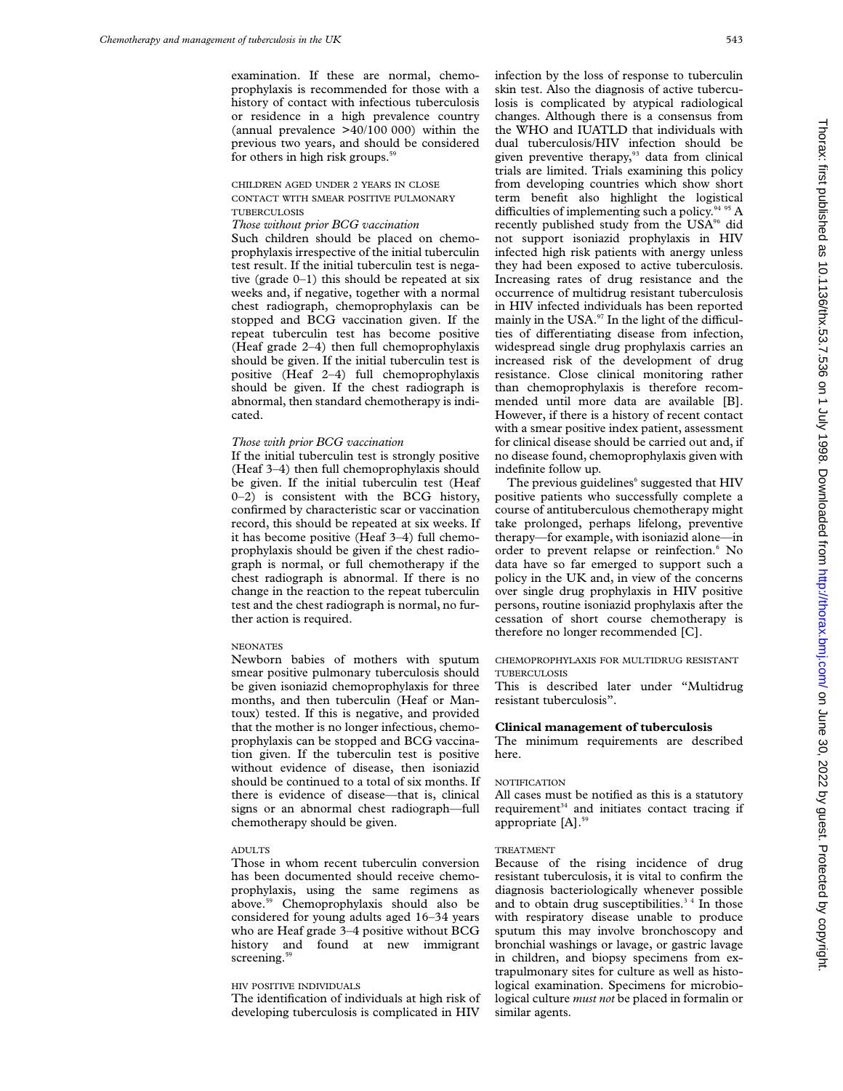examination. If these are normal, chemoprophylaxis is recommended for those with a history of contact with infectious tuberculosis or residence in a high prevalence country (annual prevalence >40/100 000) within the previous two years, and should be considered for others in high risk groups.<sup>59</sup>

# CHILDREN AGED UNDER 2 YEARS IN CLOSE CONTACT WITH SMEAR POSITIVE PULMONARY TUBERCULOSIS

# *Those without prior BCG vaccination*

Such children should be placed on chemoprophylaxis irrespective of the initial tuberculin test result. If the initial tuberculin test is negative (grade 0–1) this should be repeated at six weeks and, if negative, together with a normal chest radiograph, chemoprophylaxis can be stopped and BCG vaccination given. If the repeat tuberculin test has become positive (Heaf grade 2–4) then full chemoprophylaxis should be given. If the initial tuberculin test is positive (Heaf 2–4) full chemoprophylaxis should be given. If the chest radiograph is abnormal, then standard chemotherapy is indicated.

#### *Those with prior BCG vaccination*

If the initial tuberculin test is strongly positive (Heaf 3–4) then full chemoprophylaxis should be given. If the initial tuberculin test (Heaf 0–2) is consistent with the BCG history, confirmed by characteristic scar or vaccination record, this should be repeated at six weeks. If it has become positive (Heaf 3–4) full chemoprophylaxis should be given if the chest radiograph is normal, or full chemotherapy if the chest radiograph is abnormal. If there is no change in the reaction to the repeat tuberculin test and the chest radiograph is normal, no further action is required.

#### NEONATES

Newborn babies of mothers with sputum smear positive pulmonary tuberculosis should be given isoniazid chemoprophylaxis for three months, and then tuberculin (Heaf or Mantoux) tested. If this is negative, and provided that the mother is no longer infectious, chemoprophylaxis can be stopped and BCG vaccination given. If the tuberculin test is positive without evidence of disease, then isoniazid should be continued to a total of six months. If there is evidence of disease—that is, clinical signs or an abnormal chest radiograph—full chemotherapy should be given.

#### ADULTS

Those in whom recent tuberculin conversion has been documented should receive chemoprophylaxis, using the same regimens as above.59 Chemoprophylaxis should also be considered for young adults aged 16–34 years who are Heaf grade 3–4 positive without BCG history and found at new immigrant screening.<sup>59</sup>

#### HIV POSITIVE INDIVIDUALS

The identification of individuals at high risk of developing tuberculosis is complicated in HIV

infection by the loss of response to tuberculin skin test. Also the diagnosis of active tuberculosis is complicated by atypical radiological changes. Although there is a consensus from the WHO and IUATLD that individuals with dual tuberculosis/HIV infection should be given preventive therapy,<sup>93</sup> data from clinical trials are limited. Trials examining this policy from developing countries which show short term benefit also highlight the logistical difficulties of implementing such a policy.<sup>94 95</sup> A recently published study from the USA<sup>96</sup> did not support isoniazid prophylaxis in HIV infected high risk patients with anergy unless they had been exposed to active tuberculosis. Increasing rates of drug resistance and the occurrence of multidrug resistant tuberculosis in HIV infected individuals has been reported mainly in the USA.<sup>97</sup> In the light of the difficulties of differentiating disease from infection, widespread single drug prophylaxis carries an increased risk of the development of drug resistance. Close clinical monitoring rather than chemoprophylaxis is therefore recommended until more data are available [B]. However, if there is a history of recent contact with a smear positive index patient, assessment for clinical disease should be carried out and, if no disease found, chemoprophylaxis given with indefinite follow up.

The previous guidelines<sup>6</sup> suggested that HIV positive patients who successfully complete a course of antituberculous chemotherapy might take prolonged, perhaps lifelong, preventive therapy—for example, with isoniazid alone—in order to prevent relapse or reinfection.<sup>6</sup> No data have so far emerged to support such a policy in the UK and, in view of the concerns over single drug prophylaxis in HIV positive persons, routine isoniazid prophylaxis after the cessation of short course chemotherapy is therefore no longer recommended [C].

CHEMOPROPHYLAXIS FOR MULTIDRUG RESISTANT TUBERCULOSIS

This is described later under "Multidrug resistant tuberculosis".

## **Clinical management of tuberculosis**

The minimum requirements are described here.

# **NOTIFICATION**

All cases must be notified as this is a statutory requirement $34$  and initiates contact tracing if appropriate  $[A].$ <sup>59</sup>

#### TREATMENT

Because of the rising incidence of drug resistant tuberculosis, it is vital to confirm the diagnosis bacteriologically whenever possible and to obtain drug susceptibilities.<sup>34</sup> In those with respiratory disease unable to produce sputum this may involve bronchoscopy and bronchial washings or lavage, or gastric lavage in children, and biopsy specimens from extrapulmonary sites for culture as well as histological examination. Specimens for microbiological culture *must not* be placed in formalin or similar agents.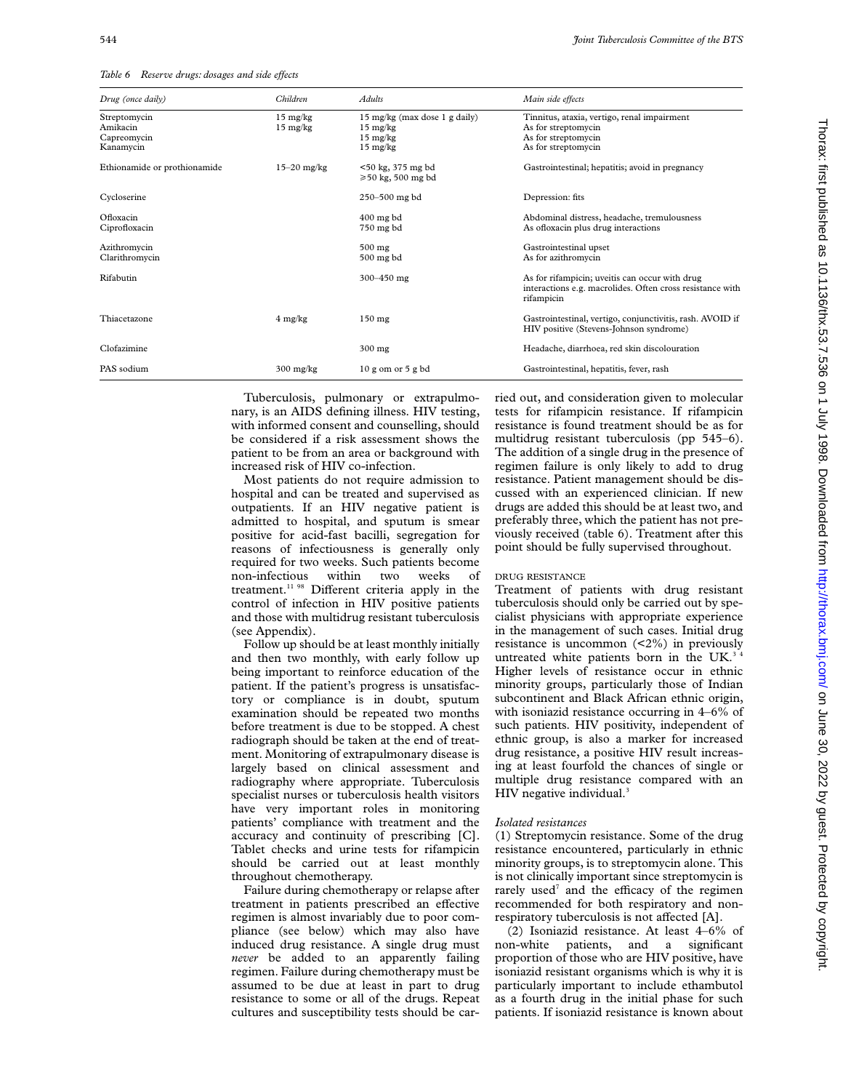*Table 6* Reserve drugs: dosages and side effects

| Drug (once daily)                                    | Children                                 | <b>Adults</b>                                                                                   | Main side effects                                                                                                         |
|------------------------------------------------------|------------------------------------------|-------------------------------------------------------------------------------------------------|---------------------------------------------------------------------------------------------------------------------------|
| Streptomycin<br>Amikacin<br>Capreomycin<br>Kanamycin | $15 \text{ mg/kg}$<br>$15 \text{ mg/kg}$ | 15 mg/kg (max dose 1 g daily)<br>$15 \text{ mg/kg}$<br>$15 \text{ mg/kg}$<br>$15 \text{ mg/kg}$ | Tinnitus, ataxia, vertigo, renal impairment<br>As for streptomycin<br>As for streptomycin<br>As for streptomycin          |
| Ethionamide or prothionamide                         | $15-20$ mg/kg                            | $<$ 50 kg, 375 mg bd<br>$\geq 50$ kg, 500 mg bd                                                 | Gastrointestinal; hepatitis; avoid in pregnancy                                                                           |
| Cycloserine                                          |                                          | 250-500 mg bd                                                                                   | Depression: fits                                                                                                          |
| Ofloxacin<br>Ciprofloxacin                           |                                          | $400$ mg bd<br>750 mg bd                                                                        | Abdominal distress, headache, tremulousness<br>As ofloxacin plus drug interactions                                        |
| Azithromycin<br>Clarithromycin                       |                                          | $500$ mg<br>500 mg bd                                                                           | Gastrointestinal upset<br>As for azithromycin                                                                             |
| Rifabutin                                            |                                          | $300 - 450$ mg                                                                                  | As for rifampicin; uveitis can occur with drug<br>interactions e.g. macrolides. Often cross resistance with<br>rifampicin |
| Thiacetazone                                         | $4 \frac{\text{mg}}{\text{kg}}$          | $150$ mg                                                                                        | Gastrointestinal, vertigo, conjunctivitis, rash. AVOID if<br>HIV positive (Stevens-Johnson syndrome)                      |
| Clofazimine                                          |                                          | 300 mg                                                                                          | Headache, diarrhoea, red skin discolouration                                                                              |
| PAS sodium                                           | $300 \text{ mg/kg}$                      | $10$ g om or $5$ g bd                                                                           | Gastrointestinal, hepatitis, fever, rash                                                                                  |

Tuberculosis, pulmonary or extrapulmonary, is an AIDS defining illness. HIV testing, with informed consent and counselling, should be considered if a risk assessment shows the patient to be from an area or background with increased risk of HIV co-infection.

Most patients do not require admission to hospital and can be treated and supervised as outpatients. If an HIV negative patient is admitted to hospital, and sputum is smear positive for acid-fast bacilli, segregation for reasons of infectiousness is generally only required for two weeks. Such patients become non-infectious within two weeks of treatment.<sup>11 98</sup> Different criteria apply in the control of infection in HIV positive patients and those with multidrug resistant tuberculosis (see Appendix).

Follow up should be at least monthly initially and then two monthly, with early follow up being important to reinforce education of the patient. If the patient's progress is unsatisfactory or compliance is in doubt, sputum examination should be repeated two months before treatment is due to be stopped. A chest radiograph should be taken at the end of treatment. Monitoring of extrapulmonary disease is largely based on clinical assessment and radiography where appropriate. Tuberculosis specialist nurses or tuberculosis health visitors have very important roles in monitoring patients' compliance with treatment and the accuracy and continuity of prescribing [C]. Tablet checks and urine tests for rifampicin should be carried out at least monthly throughout chemotherapy.

Failure during chemotherapy or relapse after treatment in patients prescribed an effective regimen is almost invariably due to poor compliance (see below) which may also have induced drug resistance. A single drug must *never* be added to an apparently failing regimen. Failure during chemotherapy must be assumed to be due at least in part to drug resistance to some or all of the drugs. Repeat cultures and susceptibility tests should be carried out, and consideration given to molecular tests for rifampicin resistance. If rifampicin resistance is found treatment should be as for multidrug resistant tuberculosis (pp 545–6). The addition of a single drug in the presence of regimen failure is only likely to add to drug resistance. Patient management should be discussed with an experienced clinician. If new drugs are added this should be at least two, and preferably three, which the patient has not previously received (table 6). Treatment after this point should be fully supervised throughout.

#### DRUG RESISTANCE

Treatment of patients with drug resistant tuberculosis should only be carried out by specialist physicians with appropriate experience in the management of such cases. Initial drug resistance is uncommon (<2%) in previously untreated white patients born in the UK.<sup>34</sup> Higher levels of resistance occur in ethnic minority groups, particularly those of Indian subcontinent and Black African ethnic origin, with isoniazid resistance occurring in 4–6% of such patients. HIV positivity, independent of ethnic group, is also a marker for increased drug resistance, a positive HIV result increasing at least fourfold the chances of single or multiple drug resistance compared with an HIV negative individual.<sup>3</sup>

#### *Isolated resistances*

(1) Streptomycin resistance. Some of the drug resistance encountered, particularly in ethnic minority groups, is to streptomycin alone. This is not clinically important since streptomycin is rarely used<sup>7</sup> and the efficacy of the regimen recommended for both respiratory and nonrespiratory tuberculosis is not affected [A].

(2) Isoniazid resistance. At least 4–6% of non-white patients, and a significant proportion of those who are HIV positive, have isoniazid resistant organisms which is why it is particularly important to include ethambutol as a fourth drug in the initial phase for such patients. If isoniazid resistance is known about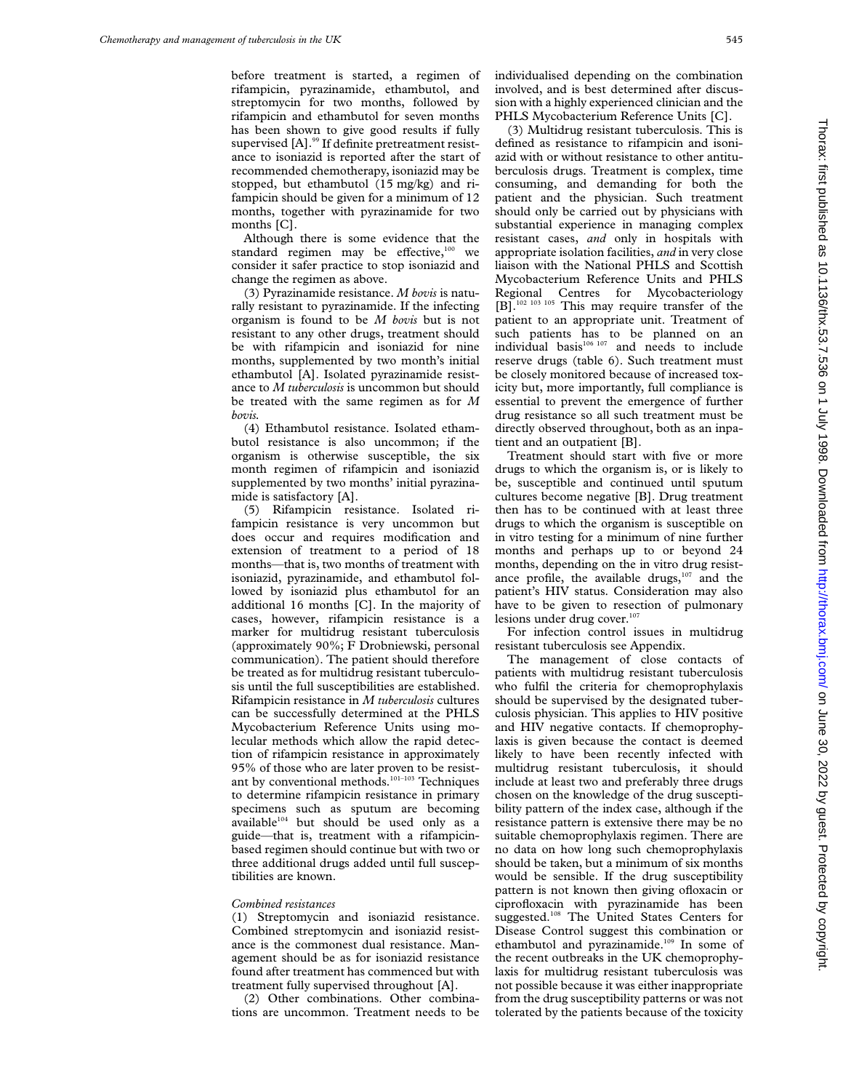before treatment is started, a regimen of rifampicin, pyrazinamide, ethambutol, and streptomycin for two months, followed by rifampicin and ethambutol for seven months has been shown to give good results if fully supervised [A].<sup>99</sup> If definite pretreatment resistance to isoniazid is reported after the start of recommended chemotherapy, isoniazid may be stopped, but ethambutol (15 mg/kg) and rifampicin should be given for a minimum of 12 months, together with pyrazinamide for two months [C].

Although there is some evidence that the standard regimen may be effective,<sup>100</sup> we consider it safer practice to stop isoniazid and change the regimen as above.

(3) Pyrazinamide resistance. *M bovis* is naturally resistant to pyrazinamide. If the infecting organism is found to be *M bovis* but is not resistant to any other drugs, treatment should be with rifampicin and isoniazid for nine months, supplemented by two month's initial ethambutol [A]. Isolated pyrazinamide resistance to *M tuberculosis* is uncommon but should be treated with the same regimen as for *M bovis.*

(4) Ethambutol resistance. Isolated ethambutol resistance is also uncommon; if the organism is otherwise susceptible, the six month regimen of rifampicin and isoniazid supplemented by two months' initial pyrazinamide is satisfactory [A].

(5) Rifampicin resistance. Isolated rifampicin resistance is very uncommon but does occur and requires modification and extension of treatment to a period of 18 months—that is, two months of treatment with isoniazid, pyrazinamide, and ethambutol followed by isoniazid plus ethambutol for an additional 16 months [C]. In the majority of cases, however, rifampicin resistance is a marker for multidrug resistant tuberculosis (approximately 90%; F Drobniewski, personal communication). The patient should therefore be treated as for multidrug resistant tuberculosis until the full susceptibilities are established. Rifampicin resistance in *M tuberculosis* cultures can be successfully determined at the PHLS Mycobacterium Reference Units using molecular methods which allow the rapid detection of rifampicin resistance in approximately 95% of those who are later proven to be resistant by conventional methods.<sup>101-103</sup> Techniques to determine rifampicin resistance in primary specimens such as sputum are becoming available $104$  but should be used only as a guide—that is, treatment with a rifampicinbased regimen should continue but with two or three additional drugs added until full susceptibilities are known.

#### *Combined resistances*

(1) Streptomycin and isoniazid resistance. Combined streptomycin and isoniazid resistance is the commonest dual resistance. Management should be as for isoniazid resistance found after treatment has commenced but with treatment fully supervised throughout [A].

(2) Other combinations. Other combinations are uncommon. Treatment needs to be individualised depending on the combination involved, and is best determined after discussion with a highly experienced clinician and the PHLS Mycobacterium Reference Units [C].

(3) Multidrug resistant tuberculosis. This is defined as resistance to rifampicin and isoniazid with or without resistance to other antituberculosis drugs. Treatment is complex, time consuming, and demanding for both the patient and the physician. Such treatment should only be carried out by physicians with substantial experience in managing complex resistant cases, *and* only in hospitals with appropriate isolation facilities, *and* in very close liaison with the National PHLS and Scottish Mycobacterium Reference Units and PHLS Regional Centres for Mycobacteriology [B].102 103 105 This may require transfer of the patient to an appropriate unit. Treatment of such patients has to be planned on an individual basis<sup>106 107</sup> and needs to include reserve drugs (table 6). Such treatment must be closely monitored because of increased toxicity but, more importantly, full compliance is essential to prevent the emergence of further drug resistance so all such treatment must be directly observed throughout, both as an inpatient and an outpatient [B].

Treatment should start with five or more drugs to which the organism is, or is likely to be, susceptible and continued until sputum cultures become negative [B]. Drug treatment then has to be continued with at least three drugs to which the organism is susceptible on in vitro testing for a minimum of nine further months and perhaps up to or beyond 24 months, depending on the in vitro drug resistance profile, the available drugs, $107$  and the patient's HIV status. Consideration may also have to be given to resection of pulmonary lesions under drug cover. $107$ 

For infection control issues in multidrug resistant tuberculosis see Appendix.

The management of close contacts of patients with multidrug resistant tuberculosis who fulfil the criteria for chemoprophylaxis should be supervised by the designated tuberculosis physician. This applies to HIV positive and HIV negative contacts. If chemoprophylaxis is given because the contact is deemed likely to have been recently infected with multidrug resistant tuberculosis, it should include at least two and preferably three drugs chosen on the knowledge of the drug susceptibility pattern of the index case, although if the resistance pattern is extensive there may be no suitable chemoprophylaxis regimen. There are no data on how long such chemoprophylaxis should be taken, but a minimum of six months would be sensible. If the drug susceptibility pattern is not known then giving ofloxacin or ciprofloxacin with pyrazinamide has been suggested.<sup>108</sup> The United States Centers for Disease Control suggest this combination or ethambutol and pyrazinamide.109 In some of the recent outbreaks in the UK chemoprophylaxis for multidrug resistant tuberculosis was not possible because it was either inappropriate from the drug susceptibility patterns or was not tolerated by the patients because of the toxicity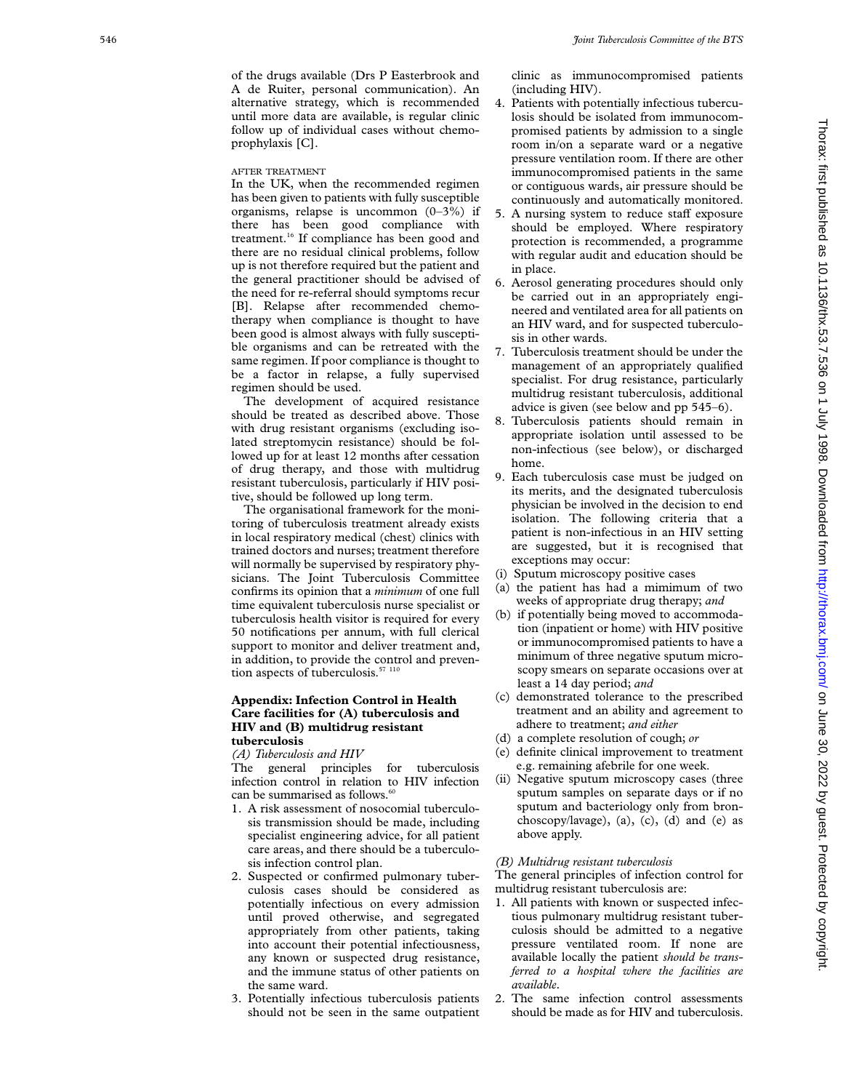of the drugs available (Drs P Easterbrook and A de Ruiter, personal communication). An alternative strategy, which is recommended until more data are available, is regular clinic follow up of individual cases without chemoprophylaxis [C].

#### AFTER TREATMENT

In the UK, when the recommended regimen has been given to patients with fully susceptible organisms, relapse is uncommon (0–3%) if there has been good compliance with treatment.<sup>16</sup> If compliance has been good and there are no residual clinical problems, follow up is not therefore required but the patient and the general practitioner should be advised of the need for re-referral should symptoms recur [B]. Relapse after recommended chemotherapy when compliance is thought to have been good is almost always with fully susceptible organisms and can be retreated with the same regimen. If poor compliance is thought to be a factor in relapse, a fully supervised regimen should be used.

The development of acquired resistance should be treated as described above. Those with drug resistant organisms (excluding isolated streptomycin resistance) should be followed up for at least 12 months after cessation of drug therapy, and those with multidrug resistant tuberculosis, particularly if HIV positive, should be followed up long term.

The organisational framework for the monitoring of tuberculosis treatment already exists in local respiratory medical (chest) clinics with trained doctors and nurses; treatment therefore will normally be supervised by respiratory physicians. The Joint Tuberculosis Committee confirms its opinion that a *minimum* of one full time equivalent tuberculosis nurse specialist or tuberculosis health visitor is required for every 50 notifications per annum, with full clerical support to monitor and deliver treatment and, in addition, to provide the control and prevention aspects of tuberculosis.<sup>57 110</sup>

## **Appendix: Infection Control in Health Care facilities for (A) tuberculosis and HIV and (B) multidrug resistant tuberculosis**

#### *(A) Tuberculosis and HIV*

The general principles for tuberculosis infection control in relation to HIV infection can be summarised as follows.<sup>60</sup>

- 1. A risk assessment of nosocomial tuberculosis transmission should be made, including specialist engineering advice, for all patient care areas, and there should be a tuberculosis infection control plan.
- 2. Suspected or confirmed pulmonary tuberculosis cases should be considered as potentially infectious on every admission until proved otherwise, and segregated appropriately from other patients, taking into account their potential infectiousness, any known or suspected drug resistance, and the immune status of other patients on the same ward.
- 3. Potentially infectious tuberculosis patients should not be seen in the same outpatient

clinic as immunocompromised patients (including HIV).

- 4. Patients with potentially infectious tuberculosis should be isolated from immunocompromised patients by admission to a single room in/on a separate ward or a negative pressure ventilation room. If there are other immunocompromised patients in the same or contiguous wards, air pressure should be continuously and automatically monitored.
- 5. A nursing system to reduce staff exposure should be employed. Where respiratory protection is recommended, a programme with regular audit and education should be in place.
- 6. Aerosol generating procedures should only be carried out in an appropriately engineered and ventilated area for all patients on an HIV ward, and for suspected tuberculosis in other wards.
- 7. Tuberculosis treatment should be under the management of an appropriately qualified specialist. For drug resistance, particularly multidrug resistant tuberculosis, additional advice is given (see below and pp 545–6).
- 8. Tuberculosis patients should remain in appropriate isolation until assessed to be non-infectious (see below), or discharged home.
- 9. Each tuberculosis case must be judged on its merits, and the designated tuberculosis physician be involved in the decision to end isolation. The following criteria that a patient is non-infectious in an HIV setting are suggested, but it is recognised that exceptions may occur:
- (i) Sputum microscopy positive cases
- (a) the patient has had a mimimum of two weeks of appropriate drug therapy; *and*
- (b) if potentially being moved to accommodation (inpatient or home) with HIV positive or immunocompromised patients to have a minimum of three negative sputum microscopy smears on separate occasions over at least a 14 day period; *and*
- (c) demonstrated tolerance to the prescribed treatment and an ability and agreement to adhere to treatment; *and either*
- (d) a complete resolution of cough; *or*
- (e) definite clinical improvement to treatment e.g. remaining afebrile for one week.
- (ii) Negative sputum microscopy cases (three sputum samples on separate days or if no sputum and bacteriology only from bronchoscopy/lavage), (a), (c), (d) and (e) as above apply.

# *(B) Multidrug resistant tuberculosis*

The general principles of infection control for multidrug resistant tuberculosis are:

- 1. All patients with known or suspected infectious pulmonary multidrug resistant tuberculosis should be admitted to a negative pressure ventilated room. If none are available locally the patient *should be transferred to a hospital where the facilities are available.*
- 2. The same infection control assessments should be made as for HIV and tuberculosis.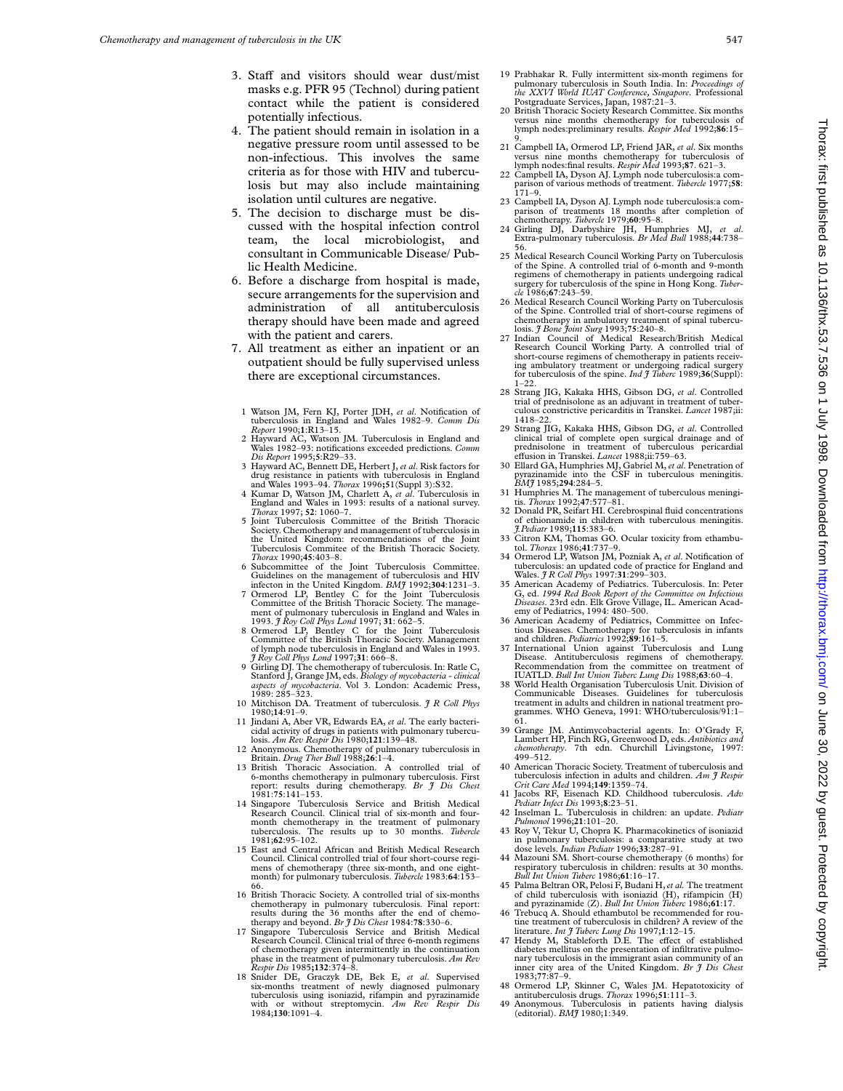- 3. Staff and visitors should wear dust/mist masks e.g. PFR 95 (Technol) during patient contact while the patient is considered potentially infectious.
- 4. The patient should remain in isolation in a negative pressure room until assessed to be non-infectious. This involves the same criteria as for those with HIV and tuberculosis but may also include maintaining isolation until cultures are negative.
- 5. The decision to discharge must be discussed with the hospital infection control team, the local microbiologist, and consultant in Communicable Disease/ Public Health Medicine.
- 6. Before a discharge from hospital is made, secure arrangements for the supervision and administration of all antituberculosis therapy should have been made and agreed with the patient and carers.
- 7. All treatment as either an inpatient or an outpatient should be fully supervised unless there are exceptional circumstances.
	- 1 Watson JM, Fern KJ, Porter JDH, *et al*. Notification of tuberculosis in England and Wales 1982–9. *Comm Dis Report* 1990;**1**:R13–15.
	- 2 Hayward AC, Watson JM. Tuberculosis in England and Wales 1982–93: notifications exceeded predictions. *Comm Dis Report* 1995;**5**:R29–33.
	- 3 Hayward AC, Bennett DE, Herbert J, *et al*. Risk factors for drug resistance in patients with tuberculosis in England and Wales 1993–94. *Thorax* 1996**;5**1(Suppl 3):S32.
	- 4 Kumar D, Watson JM, Charlett A, *et al*. Tuberculosis in England and Wales in 1993: results of a national survey. *Thorax* 1997; **52**: 1060–7.
	- 5 Joint Tuberculosis Committee of the British Thoracic Society. Chemotherapy and management of tuberculosis in the United Kingdom: recommendations of the Joint Tuberculosis Commitee of the British Thoracic Society. *Thorax* 1990;**45**:403–8.
	- 6 Subcommittee of the Joint Tuberculosis Committee. Guidelines on the management of tuberculosis and HIV
	- infecton in the United Kingdom. *BMJ* 1992;**304**:1231–3. 7 Ormerod LP, Bentley C for the Joint Tuberculosis Committee of the British Thoracic Society. The management of pulmonary tuberculosis in England and Wales in<br>
	1993. *J Roy Coll Phys Lond* 1997; **31**: 662–5.<br>
	8 Ormerod LP, Bentley C for the Joint Tuberculosis
	- Committee of the British Thoracic Society. Management of lymph node tuberculosis in England and Wales in 1993. *J Roy Coll Phys Lond* 1997;**31**: 666–8.
	- 9 Girling DJ. The chemotherapy of tuberculosis. In: Ratle C, Stanford J, Grange JM, eds. *Biology of mycobacteria clinical aspects of mycobacteria*. Vol 3. London: Academic Press, 1989: 285–323.
- 10 Mitchison DA. Treatment of tuberculosis. *J R Coll Phys* 1980;**14**:91–9.
- 11 Jindani A, Aber VR, Edwards EA, *et al*. The early bacteri-cidal activity of drugs in patients with pulmonary tubercu-losis. *Am Rev Respir Dis* 1980;**121**:139–48.
- 12 Anonymous. Chemotherapy of pulmonary tuberculosis in Britain. *Drug Ther Bull* 1988;**26**:1–4. 13 British Thoracic Association. A controlled trial of
- 6-months chemotherapy in pulmonary tuberculosis. First report: results during chemotherapy. *Br J Dis Chest* 1981:**75**:141–153.
- 14 Singapore Tuberculosis Service and British Medical Research Council. Clinical trial of six-month and fourmonth chemotherapy in the treatment of pulmonary The results up to 30 months. Tubercle 1981;**62**:95–102.
- 15 East and Central African and British Medical Research Council. Clinical controlled trial of four short-course regimens of chemotherapy (three six-month, and one eightmonth) for pulmonary tuberculosis. *Tubercle* 1983:64:153-
- 16 British Thoracic Society. A controlled trial of six-months chemotherapy in pulmonary tuberculosis. Final report: results during the 36 months after the end of chemotherapy and beyond. *Br J Dis Chest* 1984:**78**:330–6.
- 17 Singapore Tuberculosis Service and British Medical Research Council. Clinical trial of three 6-month regimens of chemotherapy given intermittently in the continuation phase in the treatment of pulmonary tuberculosis. *Am Rev Respir Dis* 1985**;132**:374–8.
- 18 Snider DE, Graczyk DE, Bek E, *et al*. Supervised six-months treatment of newly diagnosed pulmonary tuberculosis using isoniazid, rifampin and pyrazinamide<br>with or without streptomycin.  $Am$  Rev Respir Dis with or without streptomycin. *Am Rev Respir Dis* 1984;**130**:1091–4.
- 19 Prabhakar R. Fully intermittent six-month regimens for pulmonary tuberculosis in South India. In: *Proceedings of*
- *the XXVI World IUAT Conference, Singapore.* Professional Postgraduate Services, Japan, 1987:21-3.<br>20 British Thoracic Society Research Committee. Six months versus nine months chemotherapy for tuberculosis of lymph nodes:preliminary results. Respir Med 1992;86:15-
- 21 Campbell IA, Ormerod LP, Friend JAR, *et al*. Six months versus nine months chemotherapy for tuberculosis of lymph nodes:final results. *Respir Med* 1993;**87**. 621–3.
- 22 Campbell IA, Dyson AJ. Lymph node tuberculosis:a comparison of various methods of treatment. *Tubercle* 1977;**58**: 171–9.
- 23 Campbell IA, Dyson AJ. Lymph node tuberculosis:a comparison of treatments 18 months after completion of<br>chemotherapy. Tubercle 1979;60:95-8.<br>24 Griling DJ, Darbyshire JH, Humphries MJ, et al.<br>Extra-pulmonary tuberculosis. Br Med Bull 1988;44:738-
- 56. 25 Medical Research Council Working Party on Tuberculosis
- of the Spine. A controlled trial of 6-month and 9-month regimens of chemotherapy in patients undergoing radical surgery for tuberculosis of the spine in Hong Kong. *Tubercle* 1986;**67**:243–59.
- 26 Medical Research Council Working Party on Tuberculosis of the Spine. Controlled trial of short-course regimens of chemotherapy in ambulatory treatment of spinal tubercu-losis. *J Bone Joint Surg* 1993;**75**:240–8. 27 Indian Council of Medical Research/British Medical
- Research Council Working Party. A controlled trial of short-course regimens of chemotherapy in patients receiving ambulatory treatment or undergoing radical surgery for tuberculosis of the spine. *Ind J Tuberc* 1989;**36**(Suppl): 1–22.
- 28 Strang JIG, Kakaka HHS, Gibson DG, *et al*. Controlled trial of prednisolone as an adjuvant in treatment of tuber-culous constrictive pericarditis in Transkei. *Lancet* 1987;ii: 1418–22.
- 29 Strang JIG, Kakaka HHS, Gibson DG, *et al*. Controlled clinical trial of complete open surgical drainage and of prednisolone in treatment of tuberculous pericardial<br>effusion in Transkei. *Lancet* 1988;ii:759–63.
- 30 Ellard GA, Humphries MJ, Gabriel M,*et al*. Penetration of pyrazinamide into the CSF in tuberculous meningitis. *BMJ* 1985;**294**:284–5.
- 31 Humphries M. The management of tuberculous meningitis. *Thorax* 1992;**47**:577–81.
- 32 Donald PR, Seifart HI. Cerebrospinal fluid concentrations of ethionamide in children with tuberculous meningitis. *J.Pediatr* 1989;**115**:383–6.
- 33 Citron KM, Thomas GO. Ocular toxicity from ethambutol. *Thorax* 1986;**41**:737–9. 34 Ormerod LP, Watson JM, Pozniak A, *et al*. Notification of
- tuberculosis: an updated code of practice for England and Wales. *J R Coll Phys* 1997:**31**:299–303.
- 35 American Academy of Pediatrics. Tuberculosis. In: Peter G, ed. *1994 Red Book Report of the Committee on Infectious Diseases*. 23rd edn. Elk Grove Village, IL. American Acad-emy of Pediatrics, 1994: 480–500.
- 36 American Academy of Pediatrics, Committee on Infectious Diseases. Chemotherapy for tuberculosis in infants and children. *Pediatrics* 1992;**89**:161–5.
- 37 International Union against Tuberculosis and Lung Disease. Antituberculosis regimens of chemotherapy. Recommendation from the committee on treatment of IUATLD. *Bull Int Union Tuberc Lung Dis* 1988;**63**:60–4.
- 38 World Health Organisation Tuberculosis Unit. Division of Communicable Diseases. Guidelines for tuberculosis treatment in adults and children in national treatment programmes. WHO Geneva, 1991: WHO/tuberculosis/91:1– 61.
- 39 Grange JM. Antimycobacterial agents. In: O'Grady F, Lambert HP, Finch RG, Greenwood D, eds. *Antibiotics and chemotherapy*. 7th edn. Churchill Livingstone, 1997: 499–512.
- 40 American Thoracic Society. Treatment of tuberculosis and tuberculosis infection in adults and children. *Am J Respir Crit Care Med* 1994;**149**:1359–74.
- 41 Jacobs RF, Eisenach KD. Childhood tuberculosis. *Adv Pediatr Infect Dis* 1993;**8**:23–51.
- 42 Inselman L. Tuberculosis in children: an update. *Pediatr Pulmonol* 1996;**21**:101–20.
- 43 Roy V, Tekur U, Chopra K. Pharmacokinetics of isoniazid in pulmonary tuberculosis: a comparative study at two dose levels. *Indian Pediatr* 1996;**33**:287–91.
- 44 Mazouni SM. Short-course chemotherapy (6 months) for respiratory tuberculosis in children: results at 30 months. *Bull Int Union Tuberc* 1986;**61**:16–17.
- 45 Palma Beltran OR, Pelosi F, Budani H,*et al.* The treatment of child tuberculosis with isoniazid (H), rifampicin (H) and pyrazinamide (Z). *Bull Int Union Tuberc* 1986;**61**:17. 46 Trebucq A. Should ethambutol be recommended for rou-
- tine treatment of tuberculosis in children? A review of the literature. *Int J Tuberc Lung Dis* 1997;**1**:12–15.
- 47 Hendy M, Stableforth D.E. The effect of established diabetes mellitus on the presentation of infiltrative pulmonary tuberculosis in the immigrant asian community of an inner city area of the United Kingdom. *Br J Dis Chest* 1983;**77**:87–9.
- 48 Ormerod LP, Skinner C, Wales JM. Hepatotoxicity of antituberculosis drugs. *Thorax* 1996;**51**:111–3. 49 Anonymous. Tuberculosis in patients having dialysis
- 49 Anonymous. Tuberculosis<br>(editorial). *BMJ* 1980;1:349.